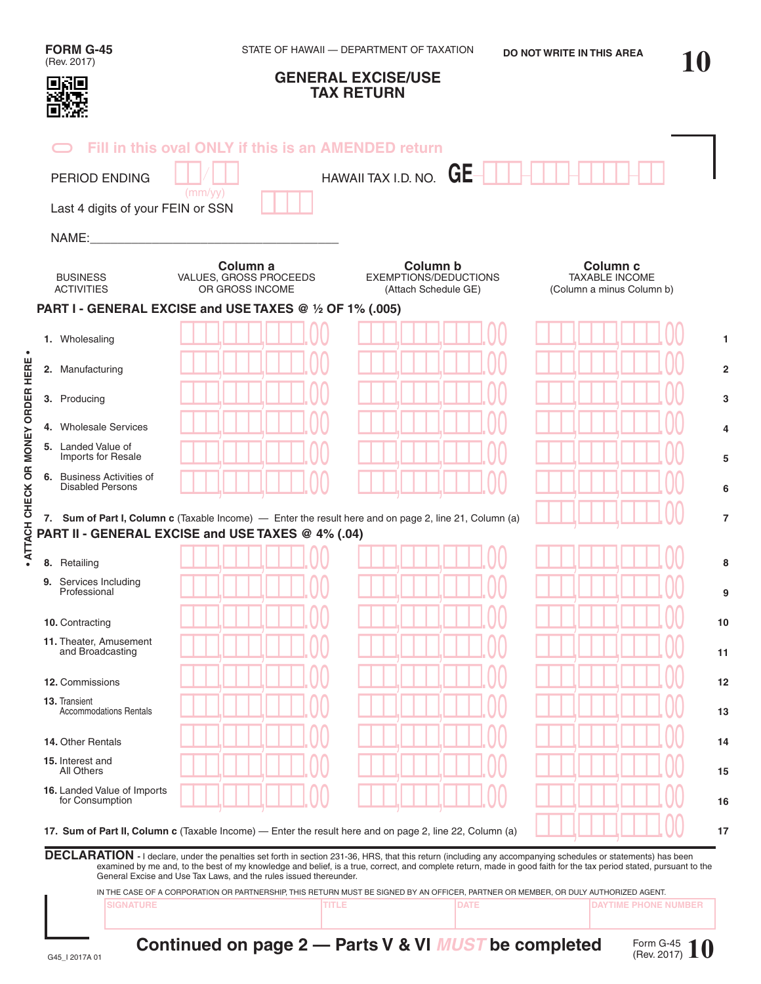| <b>FORM G-45</b><br>(Rev. 2017)                             |                                                                   | STATE OF HAWAII - DEPARTMENT OF TAXATION                                                                                                                                                                                                                                                                                            | DO NOT WRITE IN THIS AREA                                                 |  |
|-------------------------------------------------------------|-------------------------------------------------------------------|-------------------------------------------------------------------------------------------------------------------------------------------------------------------------------------------------------------------------------------------------------------------------------------------------------------------------------------|---------------------------------------------------------------------------|--|
| 回窗回                                                         |                                                                   | <b>GENERAL EXCISE/USE</b><br><b>TAX RETURN</b>                                                                                                                                                                                                                                                                                      |                                                                           |  |
|                                                             | Fill in this oval ONLY if this is an AMENDED return               |                                                                                                                                                                                                                                                                                                                                     |                                                                           |  |
| <b>PERIOD ENDING</b>                                        |                                                                   | HAWAII TAX I.D. NO. $GE-$                                                                                                                                                                                                                                                                                                           |                                                                           |  |
| Last 4 digits of your FEIN or SSN                           | (mm/yy)                                                           |                                                                                                                                                                                                                                                                                                                                     |                                                                           |  |
| NAME:                                                       |                                                                   |                                                                                                                                                                                                                                                                                                                                     |                                                                           |  |
|                                                             |                                                                   |                                                                                                                                                                                                                                                                                                                                     |                                                                           |  |
| <b>BUSINESS</b><br><b>ACTIVITIES</b>                        | Column a<br>VALUES, GROSS PROCEEDS<br>OR GROSS INCOME             | Column b<br><b>EXEMPTIONS/DEDUCTIONS</b><br>(Attach Schedule GE)                                                                                                                                                                                                                                                                    | Column <sub>c</sub><br><b>TAXABLE INCOME</b><br>(Column a minus Column b) |  |
|                                                             | PART I - GENERAL EXCISE and USE TAXES @ 1/2 OF 1% (.005)          |                                                                                                                                                                                                                                                                                                                                     |                                                                           |  |
| 1. Wholesaling                                              |                                                                   |                                                                                                                                                                                                                                                                                                                                     |                                                                           |  |
| 2. Manufacturing                                            |                                                                   |                                                                                                                                                                                                                                                                                                                                     |                                                                           |  |
| 3. Producing                                                |                                                                   |                                                                                                                                                                                                                                                                                                                                     |                                                                           |  |
| 4. Wholesale Services                                       |                                                                   |                                                                                                                                                                                                                                                                                                                                     |                                                                           |  |
| 5. Landed Value of<br>Imports for Resale                    |                                                                   |                                                                                                                                                                                                                                                                                                                                     |                                                                           |  |
| <b>6.</b> Business Activities of<br><b>Disabled Persons</b> |                                                                   |                                                                                                                                                                                                                                                                                                                                     |                                                                           |  |
|                                                             | PART II - GENERAL EXCISE and USE TAXES @ 4% (.04)                 | 7. Sum of Part I, Column c (Taxable Income) — Enter the result here and on page 2, line 21, Column (a)                                                                                                                                                                                                                              |                                                                           |  |
| 8. Retailing                                                |                                                                   |                                                                                                                                                                                                                                                                                                                                     |                                                                           |  |
| 9. Services Including<br>Professional                       |                                                                   |                                                                                                                                                                                                                                                                                                                                     |                                                                           |  |
| 10. Contracting                                             |                                                                   |                                                                                                                                                                                                                                                                                                                                     |                                                                           |  |
| 11. Theater, Amusement<br>and Broadcasting                  |                                                                   |                                                                                                                                                                                                                                                                                                                                     |                                                                           |  |
| 12. Commissions                                             |                                                                   |                                                                                                                                                                                                                                                                                                                                     |                                                                           |  |
| 13. Transient<br><b>Accommodations Rentals</b>              |                                                                   |                                                                                                                                                                                                                                                                                                                                     |                                                                           |  |
| 14. Other Rentals                                           |                                                                   |                                                                                                                                                                                                                                                                                                                                     |                                                                           |  |
| 15. Interest and<br>All Others                              |                                                                   |                                                                                                                                                                                                                                                                                                                                     |                                                                           |  |
|                                                             |                                                                   |                                                                                                                                                                                                                                                                                                                                     |                                                                           |  |
| for Consumption                                             |                                                                   |                                                                                                                                                                                                                                                                                                                                     |                                                                           |  |
|                                                             |                                                                   | 17. Sum of Part II, Column c (Taxable Income) — Enter the result here and on page 2, line 22, Column (a)                                                                                                                                                                                                                            |                                                                           |  |
|                                                             |                                                                   | DECLARATION - I declare, under the penalties set forth in section 231-36, HRS, that this return (including any accompanying schedules or statements) has been<br>examined by me and, to the best of my knowledge and belief, is a true, correct, and complete return, made in good faith for the tax period stated, pursuant to the |                                                                           |  |
| 16. Landed Value of Imports                                 | General Excise and Use Tax Laws, and the rules issued thereunder. | IN THE CASE OF A CORPORATION OR PARTNERSHIP, THIS RETURN MUST BE SIGNED BY AN OFFICER, PARTNER OR MEMBER, OR DULY AUTHORIZED AGENT.                                                                                                                                                                                                 |                                                                           |  |

**• ATTACH CHECK OR MONEY ORDER HERE •**

· ATTACH CHECK OR MONEY ORDER HERE ·

**Continued on page 2 – Parts V & VI** *MUST* **be completed**